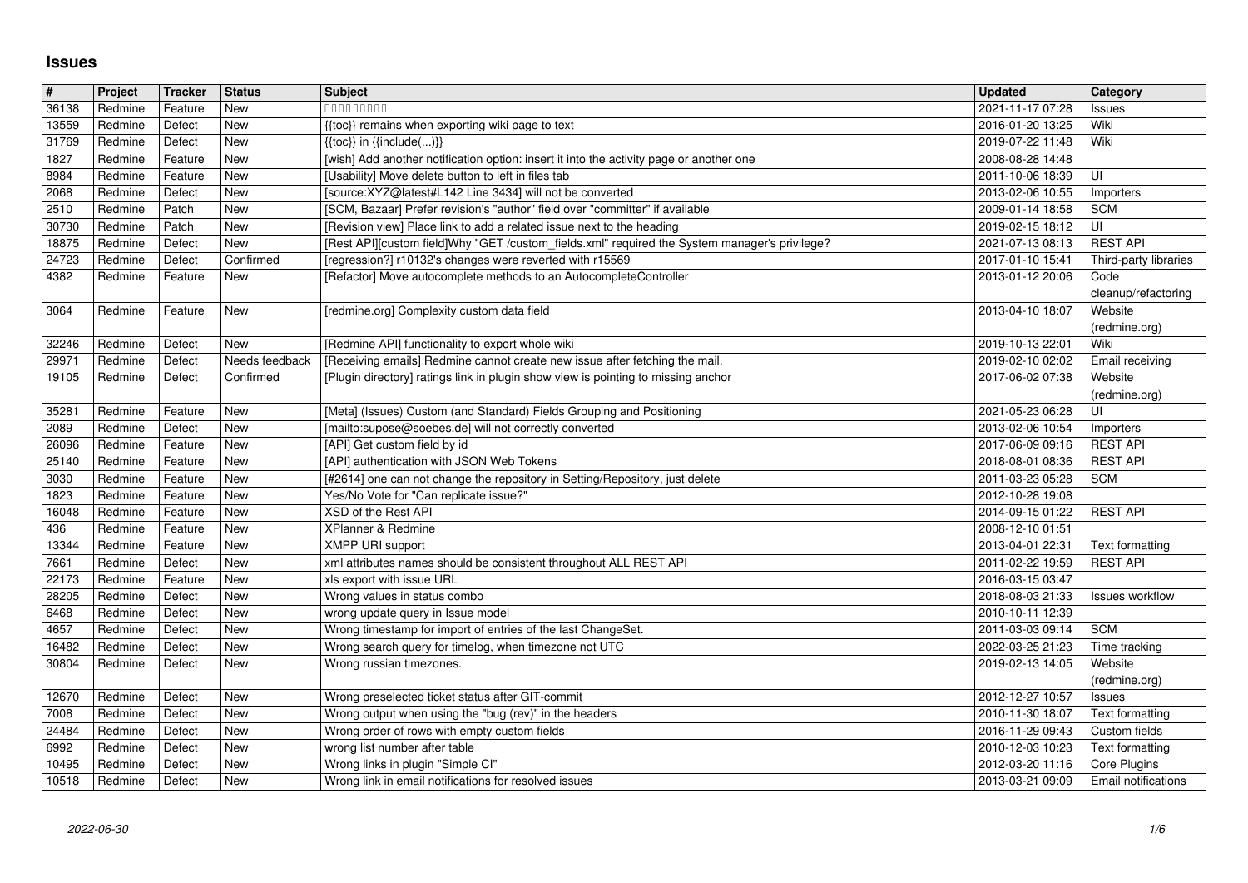## **Issues**

| $\sqrt{\frac{4}{15}}$   | Project            | Tracker            | <b>Status</b>  | <b>Subject</b>                                                                                                                                                         | <b>Updated</b>                       | Category                         |
|-------------------------|--------------------|--------------------|----------------|------------------------------------------------------------------------------------------------------------------------------------------------------------------------|--------------------------------------|----------------------------------|
| 36138                   | Redmine            | Feature            | New            | 000000000                                                                                                                                                              | 2021-11-17 07:28                     | Issues                           |
| 13559                   | Redmine            | Defect             | New            | {{toc}} remains when exporting wiki page to text                                                                                                                       | 2016-01-20 13:25                     | Wiki                             |
| 31769<br>1827           | Redmine<br>Redmine | Defect<br>Feature  | New<br>New     | $\{\{\text{toc}\}\}\$ in $\{\{\text{include}()\}\}$<br>[wish] Add another notification option: insert it into the activity page or another one                         | 2019-07-22 11:48<br>2008-08-28 14:48 | Wiki                             |
| 8984                    | Redmine            | Feature            | New            | [Usability] Move delete button to left in files tab                                                                                                                    | 2011-10-06 18:39                     | UI                               |
| 2068                    | Redmine            | Defect             | New            | [source:XYZ@latest#L142 Line 3434] will not be converted                                                                                                               | 2013-02-06 10:55                     | Importers                        |
| 2510                    | Redmine            | Patch              | New            | [SCM, Bazaar] Prefer revision's "author" field over "committer" if available                                                                                           | 2009-01-14 18:58                     | <b>SCM</b>                       |
| 30730<br>18875          | Redmine<br>Redmine | Patch<br>Defect    | New<br>New     | [Revision view] Place link to add a related issue next to the heading<br>[Rest API][custom field]Why "GET /custom_fields.xml" required the System manager's privilege? | 2019-02-15 18:12<br>2021-07-13 08:13 | UI<br><b>REST API</b>            |
| 24723                   | Redmine            | Defect             | Confirmed      | [regression?] r10132's changes were reverted with r15569                                                                                                               | 2017-01-10 15:41                     | Third-party libraries            |
| 4382                    | Redmine            | Feature            | New            | [Refactor] Move autocomplete methods to an AutocompleteController                                                                                                      | 2013-01-12 20:06                     | Code                             |
|                         |                    |                    |                |                                                                                                                                                                        |                                      | cleanup/refactoring              |
| 3064                    | Redmine            | Feature            | New            | [redmine.org] Complexity custom data field                                                                                                                             | 2013-04-10 18:07                     | Website<br>(redmine.org)         |
| 32246                   | Redmine            | Defect             | New            | [Redmine API] functionality to export whole wiki                                                                                                                       | 2019-10-13 22:01                     | Wiki                             |
| 29971                   | Redmine            | Defect             | Needs feedback | [Receiving emails] Redmine cannot create new issue after fetching the mail.                                                                                            | 2019-02-10 02:02                     | Email receiving                  |
| 19105                   | Redmine            | Defect             | Confirmed      | [Plugin directory] ratings link in plugin show view is pointing to missing anchor                                                                                      | 2017-06-02 07:38                     | Website                          |
| 35281                   | Redmine            | Feature            | New            | [Meta] (Issues) Custom (and Standard) Fields Grouping and Positioning                                                                                                  | 2021-05-23 06:28                     | (redmine.org)<br>UI              |
| 2089                    | Redmine            | Defect             | New            | [mailto:supose@soebes.de] will not correctly converted                                                                                                                 | 2013-02-06 10:54                     | Importers                        |
| 26096                   | Redmine            | Feature            | New            | [API] Get custom field by id                                                                                                                                           | 2017-06-09 09:16                     | <b>REST API</b>                  |
| 25140                   | Redmine            | Feature            | New            | [API] authentication with JSON Web Tokens                                                                                                                              | 2018-08-01 08:36                     | <b>REST API</b>                  |
| 3030<br>1823            | Redmine<br>Redmine | Feature<br>Feature | New<br>New     | [#2614] one can not change the repository in Setting/Repository, just delete<br>Yes/No Vote for "Can replicate issue?"                                                 | 2011-03-23 05:28<br>2012-10-28 19:08 | <b>SCM</b>                       |
| 16048                   | Redmine            | Feature            | New            | XSD of the Rest API                                                                                                                                                    | 2014-09-15 01:22                     | <b>REST API</b>                  |
| 436                     | Redmine            | Feature            | New            | XPlanner & Redmine                                                                                                                                                     | 2008-12-10 01:51                     |                                  |
| 13344                   | Redmine            | Feature            | New            | <b>XMPP URI support</b>                                                                                                                                                | 2013-04-01 22:31                     | Text formatting                  |
| 7661<br>22173           | Redmine<br>Redmine | Defect<br>Feature  | New<br>New     | xml attributes names should be consistent throughout ALL REST API<br>xls export with issue URL                                                                         | 2011-02-22 19:59<br>2016-03-15 03:47 | <b>REST API</b>                  |
| 28205                   | Redmine            | Defect             | New            | Wrong values in status combo                                                                                                                                           | 2018-08-03 21:33                     | <b>Issues workflow</b>           |
| 6468                    | Redmine            | Defect             | New            | wrong update query in Issue model                                                                                                                                      | 2010-10-11 12:39                     |                                  |
| 4657                    | Redmine            | Defect             | New            | Wrong timestamp for import of entries of the last ChangeSet.                                                                                                           | 2011-03-03 09:14                     | <b>SCM</b>                       |
| 16482                   | Redmine            | Defect             | New            | Wrong search query for timelog, when timezone not UTC                                                                                                                  | 2022-03-25 21:23                     | Time tracking                    |
| 30804                   | Redmine            | Defect             | New            | Wrong russian timezones.                                                                                                                                               | 2019-02-13 14:05                     | Website<br>(redmine.org)         |
| 12670                   | Redmine            | Defect             | New            | Wrong preselected ticket status after GIT-commit                                                                                                                       | 2012-12-27 10:57                     | Issues                           |
| 7008                    | Redmine            | Defect             | New            | Wrong output when using the "bug (rev)" in the headers                                                                                                                 | 2010-11-30 18:07                     | Text formatting                  |
| 24484<br>$\boxed{6992}$ | Redmine<br>Redmine | Defect<br>Defect   | New<br>New     | Wrong order of rows with empty custom fields<br>wrong list number after table                                                                                          | 2016-11-29 09:43<br>2010-12-03 10:23 | Custom fields<br>Text formatting |
| 10495                   | Redmine            | Defect             | New            | Wrong links in plugin "Simple CI"                                                                                                                                      | 2012-03-20 11:16                     | Core Plugins                     |
| 10518                   | Redmine            | Defect             | New            | Wrong link in email notifications for resolved issues                                                                                                                  | 2013-03-21 09:09                     | Email notifications              |
|                         |                    |                    |                |                                                                                                                                                                        |                                      |                                  |
|                         |                    |                    |                |                                                                                                                                                                        |                                      |                                  |
|                         |                    |                    |                |                                                                                                                                                                        |                                      |                                  |
|                         |                    |                    |                |                                                                                                                                                                        |                                      |                                  |
|                         |                    |                    |                |                                                                                                                                                                        |                                      |                                  |
|                         |                    |                    |                |                                                                                                                                                                        |                                      |                                  |
|                         |                    |                    |                |                                                                                                                                                                        |                                      |                                  |
|                         |                    |                    |                |                                                                                                                                                                        |                                      |                                  |
|                         |                    |                    |                |                                                                                                                                                                        |                                      |                                  |
|                         |                    |                    |                |                                                                                                                                                                        |                                      |                                  |
|                         |                    |                    |                |                                                                                                                                                                        |                                      |                                  |
|                         |                    |                    |                |                                                                                                                                                                        |                                      |                                  |
|                         |                    |                    |                |                                                                                                                                                                        |                                      |                                  |
|                         |                    |                    |                |                                                                                                                                                                        |                                      |                                  |
|                         |                    |                    |                |                                                                                                                                                                        |                                      |                                  |
|                         |                    |                    |                |                                                                                                                                                                        |                                      |                                  |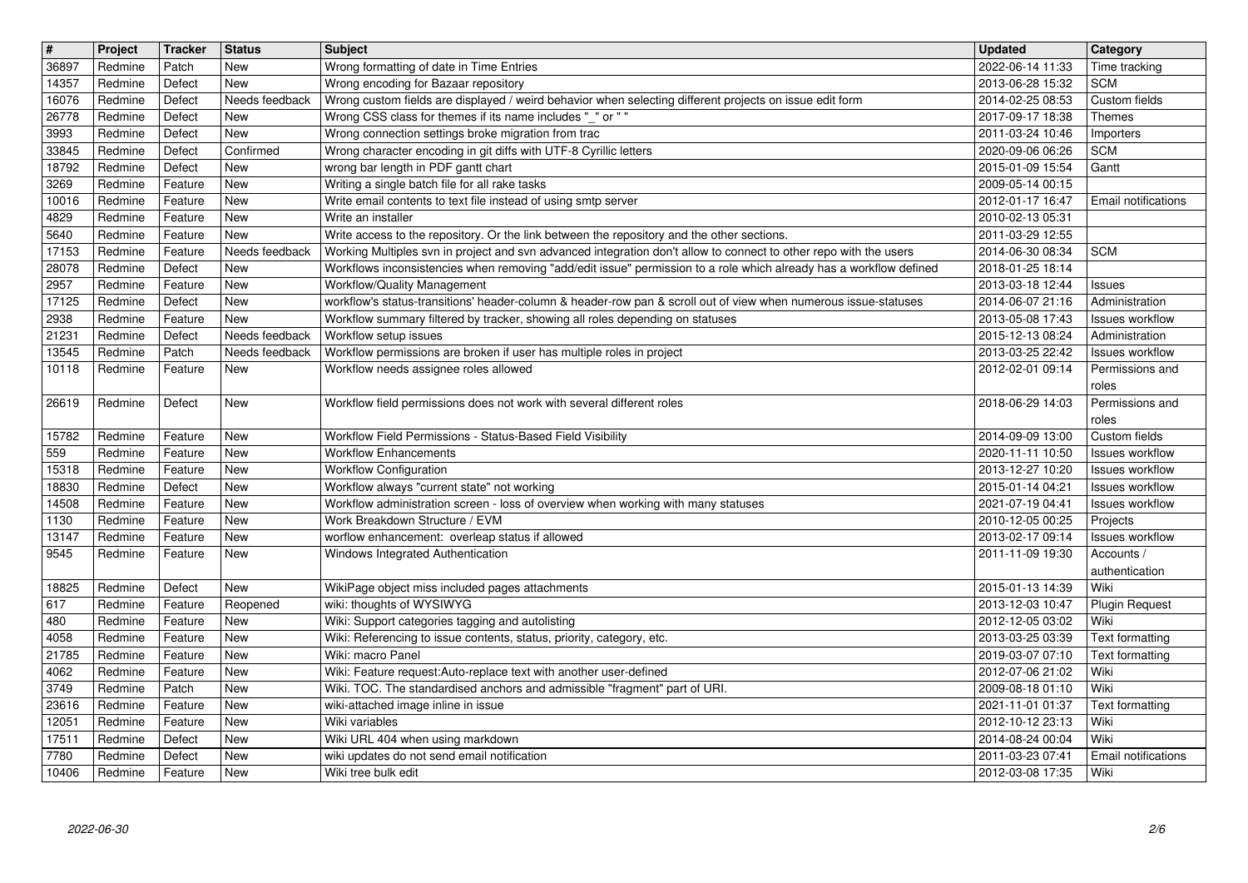|                | Project            | Tracker            | <b>Status</b>         | <b>Subject</b>                                                                                                                                    | <b>Updated</b>                       | Category                                  |
|----------------|--------------------|--------------------|-----------------------|---------------------------------------------------------------------------------------------------------------------------------------------------|--------------------------------------|-------------------------------------------|
| 36897<br>14357 | Redmine<br>Redmine | Patch<br>Defect    | New<br>New            | Wrong formatting of date in Time Entries<br>Wrong encoding for Bazaar repository                                                                  | 2022-06-14 11:33<br>2013-06-28 15:32 | Time tracking<br><b>SCM</b>               |
| 16076          | Redmine            | Defect             | Needs feedback        | Wrong custom fields are displayed / weird behavior when selecting different projects on issue edit form                                           | 2014-02-25 08:53                     | Custom fields                             |
| 26778          | Redmine            | Defect             | New                   | Wrong CSS class for themes if its name includes "_" or ""                                                                                         | 2017-09-17 18:38                     | Themes                                    |
| 3993<br>33845  | Redmine<br>Redmine | Defect<br>Defect   | New<br>Confirmed      | Wrong connection settings broke migration from trac<br>Wrong character encoding in git diffs with UTF-8 Cyrillic letters                          | 2011-03-24 10:46<br>2020-09-06 06:26 | Importers<br><b>SCM</b>                   |
| 18792          | Redmine            | Defect             | New                   | wrong bar length in PDF gantt chart                                                                                                               | 2015-01-09 15:54                     | Gantt                                     |
| 3269           | Redmine            | Feature            | New                   | Writing a single batch file for all rake tasks                                                                                                    | 2009-05-14 00:15                     |                                           |
| 10016<br>4829  | Redmine<br>Redmine | Feature<br>Feature | New<br>New            | Write email contents to text file instead of using smtp server<br>Write an installer                                                              | 2012-01-17 16:47<br>2010-02-13 05:31 | Email notifications                       |
| 5640           | Redmine            | Feature            | New                   | Write access to the repository. Or the link between the repository and the other sections.                                                        | 2011-03-29 12:55                     |                                           |
| 17153<br>28078 | Redmine            | Feature            | Needs feedback<br>New | Working Multiples svn in project and svn advanced integration don't allow to connect to other repo with the users                                 | 2014-06-30 08:34                     | <b>SCM</b>                                |
| 2957           | Redmine<br>Redmine | Defect<br>Feature  | New                   | Workflows inconsistencies when removing "add/edit issue" permission to a role which already has a workflow defined<br>Workflow/Quality Management | 2018-01-25 18:14<br>2013-03-18 12:44 | Issues                                    |
| 17125          | Redmine            | Defect             | New                   | workflow's status-transitions' header-column & header-row pan & scroll out of view when numerous issue-statuses                                   | 2014-06-07 21:16                     | Administration                            |
| 2938<br>21231  | Redmine<br>Redmine | Feature<br>Defect  | New<br>Needs feedback | Workflow summary filtered by tracker, showing all roles depending on statuses<br>Workflow setup issues                                            | 2013-05-08 17:43<br>2015-12-13 08:24 | Issues workflow<br>Administration         |
| 13545          | Redmine            | Patch              | Needs feedback        | Workflow permissions are broken if user has multiple roles in project                                                                             | 2013-03-25 22:42                     | Issues workflow                           |
| 10118          | Redmine            | Feature            | New                   | Workflow needs assignee roles allowed                                                                                                             | 2012-02-01 09:14                     | Permissions and                           |
| 26619          | Redmine            | Defect             | New                   | Workflow field permissions does not work with several different roles                                                                             | 2018-06-29 14:03                     | roles<br>Permissions and                  |
|                |                    |                    |                       |                                                                                                                                                   |                                      | roles                                     |
| 15782          | Redmine            | Feature            | New                   | Workflow Field Permissions - Status-Based Field Visibility                                                                                        | 2014-09-09 13:00                     | Custom fields                             |
| 559<br>15318   | Redmine<br>Redmine | Feature<br>Feature | New<br>New            | <b>Workflow Enhancements</b><br><b>Workflow Configuration</b>                                                                                     | 2020-11-11 10:50<br>2013-12-27 10:20 | <b>Issues workflow</b><br>Issues workflow |
| 18830          | Redmine            | Defect             | New                   | Workflow always "current state" not working                                                                                                       | 2015-01-14 04:21                     | <b>Issues workflow</b>                    |
| 14508<br>1130  | Redmine<br>Redmine | Feature<br>Feature | New<br>New            | Workflow administration screen - loss of overview when working with many statuses<br>Work Breakdown Structure / EVM                               | 2021-07-19 04:41<br>2010-12-05 00:25 | Issues workflow<br>Projects               |
| 13147          | Redmine            | Feature            | New                   | worflow enhancement: overleap status if allowed                                                                                                   | 2013-02-17 09:14                     | Issues workflow                           |
| 9545           | Redmine            | Feature            | New                   | Windows Integrated Authentication                                                                                                                 | 2011-11-09 19:30                     | Accounts /                                |
| 18825          | Redmine            | Defect             | New                   | WikiPage object miss included pages attachments                                                                                                   | 2015-01-13 14:39                     | authentication<br>Wiki                    |
| 617            | Redmine            | Feature            | Reopened              | wiki: thoughts of WYSIWYG                                                                                                                         | 2013-12-03 10:47                     | <b>Plugin Request</b>                     |
| 480            | Redmine            | Feature            | New                   | Wiki: Support categories tagging and autolisting                                                                                                  | 2012-12-05 03:02                     | Wiki                                      |
| 4058<br>21785  | Redmine<br>Redmine | Feature<br>Feature | New<br>New            | Wiki: Referencing to issue contents, status, priority, category, etc.<br>Wiki: macro Panel                                                        | 2013-03-25 03:39<br>2019-03-07 07:10 | Text formatting<br>Text formatting        |
| 4062           | Redmine            | Feature            | New                   | Wiki: Feature request:Auto-replace text with another user-defined                                                                                 | 2012-07-06 21:02                     | Wiki                                      |
| 3749           | Redmine            | Patch              | New                   | Wiki. TOC. The standardised anchors and admissible "fragment" part of URI.                                                                        | 2009-08-18 01:10                     | Wiki                                      |
| 23616<br>12051 | Redmine<br>Redmine | Feature<br>Feature | New<br>New            | wiki-attached image inline in issue<br>Wiki variables                                                                                             | 2021-11-01 01:37<br>2012-10-12 23:13 | Text formatting<br>Wiki                   |
| 17511          | Redmine            | Defect             | New                   | Wiki URL 404 when using markdown                                                                                                                  | 2014-08-24 00:04                     | Wiki                                      |
| 7780<br>10406  | Redmine<br>Redmine | Defect<br>Feature  | New<br>New            | wiki updates do not send email notification<br>Wiki tree bulk edit                                                                                | 2011-03-23 07:41<br>2012-03-08 17:35 | <b>Email notifications</b><br>Wiki        |
|                |                    |                    |                       |                                                                                                                                                   |                                      |                                           |
|                |                    |                    |                       |                                                                                                                                                   |                                      |                                           |
|                |                    |                    |                       |                                                                                                                                                   |                                      |                                           |
|                |                    |                    |                       |                                                                                                                                                   |                                      |                                           |
|                |                    |                    |                       |                                                                                                                                                   |                                      |                                           |
|                |                    |                    |                       |                                                                                                                                                   |                                      |                                           |
|                |                    |                    |                       |                                                                                                                                                   |                                      |                                           |
|                |                    |                    |                       |                                                                                                                                                   |                                      |                                           |
|                |                    |                    |                       |                                                                                                                                                   |                                      |                                           |
|                |                    |                    |                       |                                                                                                                                                   |                                      |                                           |
|                |                    |                    |                       |                                                                                                                                                   |                                      |                                           |
|                |                    |                    |                       |                                                                                                                                                   |                                      |                                           |
|                |                    |                    |                       |                                                                                                                                                   |                                      |                                           |
|                |                    |                    |                       |                                                                                                                                                   |                                      |                                           |
|                |                    |                    |                       |                                                                                                                                                   |                                      |                                           |
|                |                    |                    |                       |                                                                                                                                                   |                                      |                                           |
|                |                    |                    |                       |                                                                                                                                                   |                                      |                                           |
|                |                    |                    |                       |                                                                                                                                                   |                                      |                                           |
|                |                    |                    |                       |                                                                                                                                                   |                                      |                                           |
|                |                    |                    |                       |                                                                                                                                                   |                                      |                                           |
|                |                    |                    |                       |                                                                                                                                                   |                                      |                                           |
|                |                    |                    |                       |                                                                                                                                                   |                                      |                                           |
|                |                    |                    |                       |                                                                                                                                                   |                                      |                                           |
|                |                    |                    |                       |                                                                                                                                                   |                                      |                                           |
|                |                    |                    |                       |                                                                                                                                                   |                                      |                                           |
|                |                    |                    |                       |                                                                                                                                                   |                                      |                                           |
|                |                    |                    |                       |                                                                                                                                                   |                                      |                                           |
|                |                    |                    |                       |                                                                                                                                                   |                                      |                                           |
|                |                    |                    |                       |                                                                                                                                                   |                                      |                                           |
|                |                    |                    |                       |                                                                                                                                                   |                                      |                                           |
|                |                    |                    |                       |                                                                                                                                                   |                                      |                                           |
|                |                    |                    |                       |                                                                                                                                                   |                                      |                                           |
|                |                    |                    |                       |                                                                                                                                                   |                                      |                                           |
|                |                    |                    |                       |                                                                                                                                                   |                                      |                                           |
|                |                    |                    |                       |                                                                                                                                                   |                                      |                                           |
|                |                    |                    |                       |                                                                                                                                                   |                                      |                                           |
|                |                    |                    |                       |                                                                                                                                                   |                                      |                                           |
|                |                    |                    |                       |                                                                                                                                                   |                                      |                                           |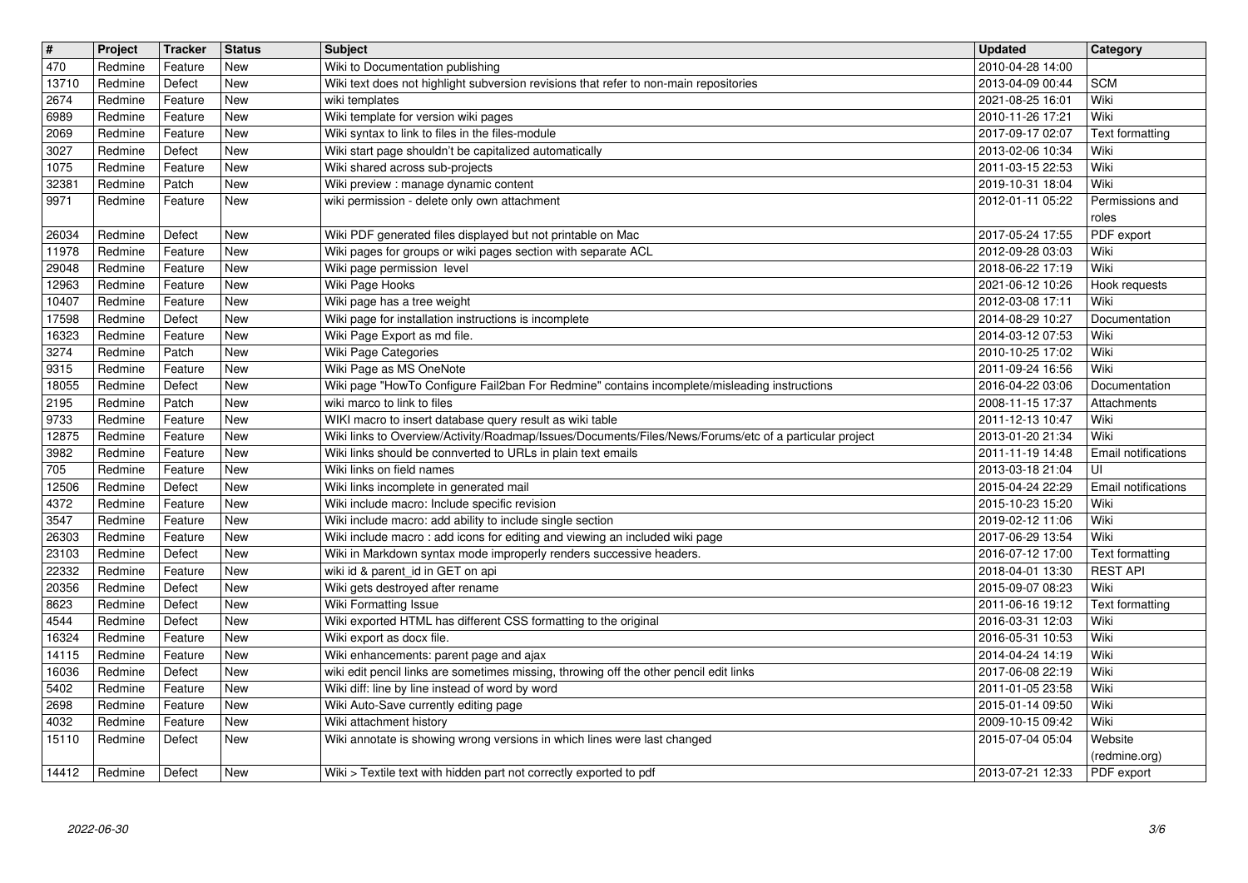| $\overline{\mathbf{t}}$ | Project            | Tracker            | <b>Status</b>     | Subject                                                                                                                      | <b>Updated</b>                       | Category                           |
|-------------------------|--------------------|--------------------|-------------------|------------------------------------------------------------------------------------------------------------------------------|--------------------------------------|------------------------------------|
| $\sqrt{470}$            | Redmine            | Feature            | New               | Wiki to Documentation publishing                                                                                             | 2010-04-28 14:00                     |                                    |
| 13710<br>2674           | Redmine<br>Redmine | Defect<br>Feature  | <b>New</b><br>New | Wiki text does not highlight subversion revisions that refer to non-main repositories<br>wiki templates                      | 2013-04-09 00:44<br>2021-08-25 16:01 | <b>SCM</b><br>Wiki                 |
| 6989                    | Redmine            | Feature            | New               | Wiki template for version wiki pages                                                                                         | 2010-11-26 17:21                     | Wiki                               |
| 2069                    | Redmine            | Feature            | New               | Wiki syntax to link to files in the files-module                                                                             | 2017-09-17 02:07                     | Text formatting                    |
| 3027                    | Redmine            | Defect             | <b>New</b>        | Wiki start page shouldn't be capitalized automatically                                                                       | 2013-02-06 10:34                     | Wiki                               |
| 1075<br>32381           | Redmine<br>Redmine | Feature<br>Patch   | <b>New</b><br>New | Wiki shared across sub-projects<br>Wiki preview : manage dynamic content                                                     | 2011-03-15 22:53<br>2019-10-31 18:04 | Wiki<br>Wiki                       |
| 9971                    | Redmine            | Feature            | <b>New</b>        | wiki permission - delete only own attachment                                                                                 | 2012-01-11 05:22                     | Permissions and                    |
|                         |                    |                    |                   |                                                                                                                              |                                      | roles                              |
| 26034<br>11978          | Redmine<br>Redmine | Defect<br>Feature  | <b>New</b><br>New | Wiki PDF generated files displayed but not printable on Mac<br>Wiki pages for groups or wiki pages section with separate ACL | 2017-05-24 17:55<br>2012-09-28 03:03 | PDF export<br>Wiki                 |
| 29048                   | Redmine            | Feature            | New               | Wiki page permission level                                                                                                   | 2018-06-22 17:19                     | Wiki                               |
| 12963                   | Redmine            | Feature            | New               | Wiki Page Hooks                                                                                                              | 2021-06-12 10:26                     | Hook requests                      |
| 10407                   | Redmine            | Feature            | <b>New</b>        | Wiki page has a tree weight                                                                                                  | 2012-03-08 17:11                     | Wiki                               |
| 17598<br>16323          | Redmine<br>Redmine | Defect<br>Feature  | New<br>New        | Wiki page for installation instructions is incomplete<br>Wiki Page Export as md file.                                        | 2014-08-29 10:27<br>2014-03-12 07:53 | Documentation<br>Wiki              |
| 3274                    | Redmine            | Patch              | New               | Wiki Page Categories                                                                                                         | 2010-10-25 17:02                     | Wiki                               |
| 9315                    | Redmine            | Feature            | New               | Wiki Page as MS OneNote                                                                                                      | 2011-09-24 16:56                     | Wiki                               |
| 18055                   | Redmine            | Defect             | <b>New</b>        | Wiki page "HowTo Configure Fail2ban For Redmine" contains incomplete/misleading instructions                                 | 2016-04-22 03:06                     | Documentation                      |
| 2195<br>9733            | Redmine<br>Redmine | Patch<br>Feature   | <b>New</b><br>New | wiki marco to link to files<br>WIKI macro to insert database query result as wiki table                                      | 2008-11-15 17:37<br>2011-12-13 10:47 | Attachments<br>Wiki                |
| 12875                   | Redmine            | Feature            | New               | Wiki links to Overview/Activity/Roadmap/Issues/Documents/Files/News/Forums/etc of a particular project                       | 2013-01-20 21:34                     | Wiki                               |
| 3982                    | Redmine            | Feature            | New               | Wiki links should be connverted to URLs in plain text emails                                                                 | 2011-11-19 14:48                     | Email notifications                |
| 705                     | Redmine            | Feature            | New               | Wiki links on field names                                                                                                    | 2013-03-18 21:04                     | UI                                 |
| 12506<br>4372           | Redmine<br>Redmine | Defect<br>Feature  | New<br>New        | Wiki links incomplete in generated mail<br>Wiki include macro: Include specific revision                                     | 2015-04-24 22:29<br>2015-10-23 15:20 | Email notifications<br>Wiki        |
| 3547                    | Redmine            | Feature            | New               | Wiki include macro: add ability to include single section                                                                    | 2019-02-12 11:06                     | Wiki                               |
| 26303                   | Redmine            | Feature            | New               | Wiki include macro: add icons for editing and viewing an included wiki page                                                  | 2017-06-29 13:54                     | Wiki                               |
| 23103                   | Redmine            | Defect             | New<br><b>New</b> | Wiki in Markdown syntax mode improperly renders successive headers.                                                          | 2016-07-12 17:00                     | Text formatting<br><b>REST API</b> |
| 22332<br>20356          | Redmine<br>Redmine | Feature<br>Defect  | <b>New</b>        | wiki id & parent_id in GET on api<br>Wiki gets destroyed after rename                                                        | 2018-04-01 13:30<br>2015-09-07 08:23 | Wiki                               |
| 8623                    | Redmine            | Defect             | <b>New</b>        | <b>Wiki Formatting Issue</b>                                                                                                 | 2011-06-16 19:12                     | Text formatting                    |
| 4544                    | Redmine            | Defect             | <b>New</b>        | Wiki exported HTML has different CSS formatting to the original                                                              | 2016-03-31 12:03                     | Wiki                               |
| 16324<br>14115          | Redmine<br>Redmine | Feature<br>Feature | New<br>New        | Wiki export as docx file.<br>Wiki enhancements: parent page and ajax                                                         | 2016-05-31 10:53<br>2014-04-24 14:19 | Wiki<br>Wiki                       |
| 16036                   | Redmine            | Defect             | <b>New</b>        | wiki edit pencil links are sometimes missing, throwing off the other pencil edit links                                       | 2017-06-08 22:19                     | Wiki                               |
| 5402                    | Redmine            | Feature            | New               | Wiki diff: line by line instead of word by word                                                                              | 2011-01-05 23:58                     | Wiki                               |
| 2698                    | Redmine            | Feature            | New               | Wiki Auto-Save currently editing page                                                                                        | 2015-01-14 09:50                     | Wiki                               |
| 4032<br>15110           | Redmine<br>Redmine | Feature<br>Defect  | New<br>New        | Wiki attachment history<br>Wiki annotate is showing wrong versions in which lines were last changed                          | 2009-10-15 09:42<br>2015-07-04 05:04 | Wiki<br>Website                    |
|                         |                    |                    |                   |                                                                                                                              |                                      | (redmine.org)                      |
| 14412                   | Redmine            | Defect             | New               | Wiki > Textile text with hidden part not correctly exported to pdf                                                           | 2013-07-21 12:33                     | PDF export                         |
|                         |                    |                    |                   |                                                                                                                              |                                      |                                    |
|                         |                    |                    |                   |                                                                                                                              |                                      |                                    |
|                         |                    |                    |                   |                                                                                                                              |                                      |                                    |
|                         |                    |                    |                   |                                                                                                                              |                                      |                                    |
|                         |                    |                    |                   |                                                                                                                              |                                      |                                    |
|                         |                    |                    |                   |                                                                                                                              |                                      |                                    |
|                         |                    |                    |                   |                                                                                                                              |                                      |                                    |
|                         |                    |                    |                   |                                                                                                                              |                                      |                                    |
|                         |                    |                    |                   |                                                                                                                              |                                      |                                    |
|                         |                    |                    |                   |                                                                                                                              |                                      |                                    |
|                         |                    |                    |                   |                                                                                                                              |                                      |                                    |
|                         |                    |                    |                   |                                                                                                                              |                                      |                                    |
|                         |                    |                    |                   |                                                                                                                              |                                      |                                    |
|                         |                    |                    |                   |                                                                                                                              |                                      |                                    |
|                         |                    |                    |                   |                                                                                                                              |                                      |                                    |
|                         |                    |                    |                   |                                                                                                                              |                                      |                                    |
|                         |                    |                    |                   |                                                                                                                              |                                      |                                    |
|                         |                    |                    |                   |                                                                                                                              |                                      |                                    |
|                         |                    |                    |                   |                                                                                                                              |                                      |                                    |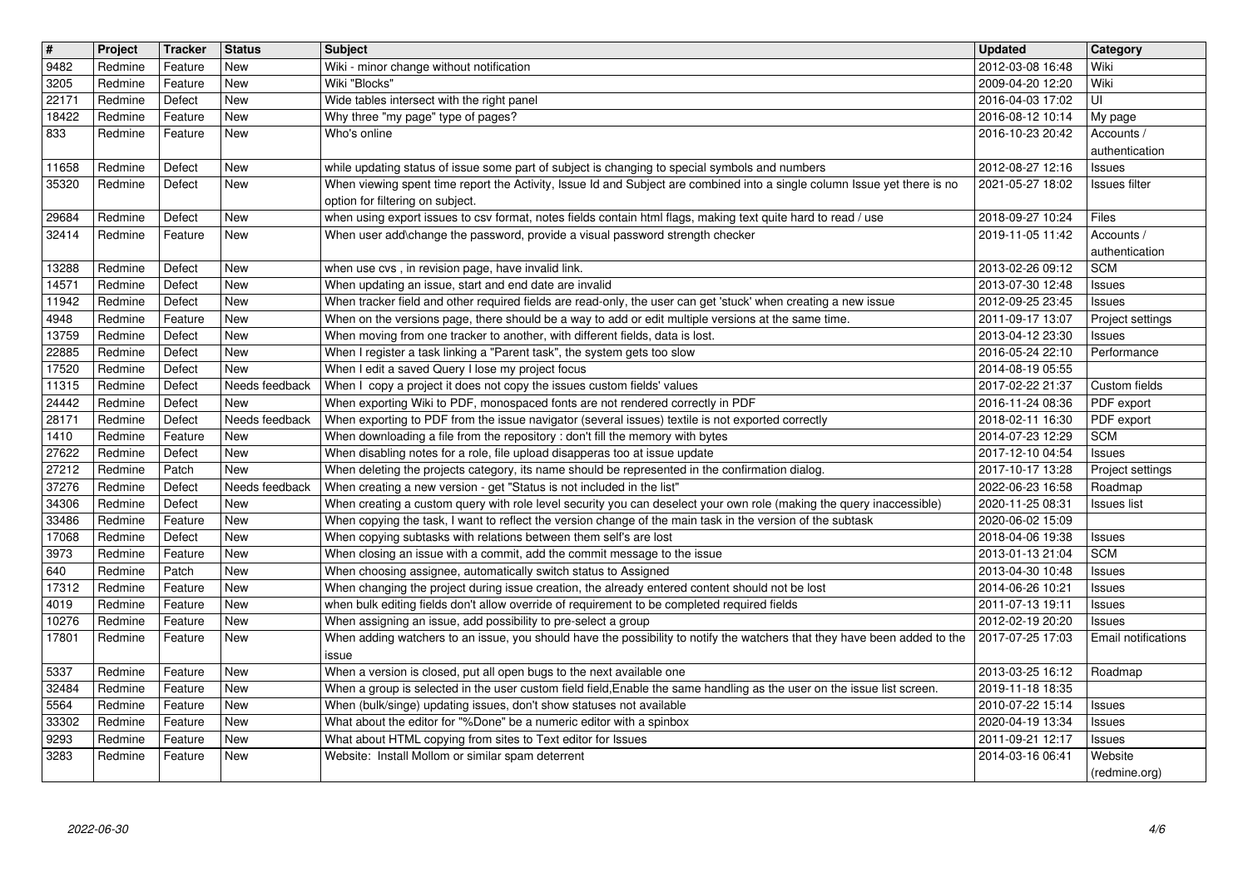| $\overline{\mathbf{H}}$ | Project            | Tracker            | <b>Status</b>         | <b>Subject</b>                                                                                                                                                                                                              | <b>Updated</b>                       | <b>Category</b>                   |
|-------------------------|--------------------|--------------------|-----------------------|-----------------------------------------------------------------------------------------------------------------------------------------------------------------------------------------------------------------------------|--------------------------------------|-----------------------------------|
| 9482                    | Redmine            | Feature            | New                   | Wiki - minor change without notification                                                                                                                                                                                    | 2012-03-08 16:48                     | Wiki                              |
| 3205<br>22171           | Redmine<br>Redmine | Feature<br>Defect  | New<br>New            | Wiki "Blocks"<br>Wide tables intersect with the right panel                                                                                                                                                                 | 2009-04-20 12:20<br>2016-04-03 17:02 | Wiki<br>UI                        |
| 18422                   | Redmine            | Feature            | New                   | Why three "my page" type of pages?                                                                                                                                                                                          | 2016-08-12 10:14                     | My page                           |
| 833                     | Redmine            | Feature            | New                   | Who's online                                                                                                                                                                                                                | 2016-10-23 20:42                     | Accounts /                        |
|                         |                    |                    |                       |                                                                                                                                                                                                                             |                                      | authentication                    |
| 11658<br>35320          | Redmine<br>Redmine | Defect<br>Defect   | New<br>New            | while updating status of issue some part of subject is changing to special symbols and numbers<br>When viewing spent time report the Activity, Issue Id and Subject are combined into a single column Issue yet there is no | 2012-08-27 12:16<br>2021-05-27 18:02 | Issues<br>Issues filter           |
|                         |                    |                    |                       | option for filtering on subject.                                                                                                                                                                                            |                                      |                                   |
| 29684                   | Redmine            | Defect             | New                   | when using export issues to csv format, notes fields contain html flags, making text quite hard to read / use                                                                                                               | 2018-09-27 10:24                     | Files                             |
| 32414                   | Redmine            | Feature            | New                   | When user add\change the password, provide a visual password strength checker                                                                                                                                               | 2019-11-05 11:42                     | Accounts /<br>authentication      |
| 13288                   | Redmine            | Defect             | New                   | when use cvs, in revision page, have invalid link.                                                                                                                                                                          | 2013-02-26 09:12                     | <b>SCM</b>                        |
| 14571                   | Redmine            | Defect             | New                   | When updating an issue, start and end date are invalid                                                                                                                                                                      | 2013-07-30 12:48                     | Issues                            |
| 11942<br>4948           | Redmine<br>Redmine | Defect<br>Feature  | New<br>New            | When tracker field and other required fields are read-only, the user can get 'stuck' when creating a new issue<br>When on the versions page, there should be a way to add or edit multiple versions at the same time.       | 2012-09-25 23:45<br>2011-09-17 13:07 | <b>Issues</b><br>Project settings |
| 13759                   | Redmine            | Defect             | New                   | When moving from one tracker to another, with different fields, data is lost.                                                                                                                                               | 2013-04-12 23:30                     | Issues                            |
| 22885<br>17520          | Redmine<br>Redmine | Defect<br>Defect   | New<br>New            | When I register a task linking a "Parent task", the system gets too slow<br>When I edit a saved Query I lose my project focus                                                                                               | 2016-05-24 22:10<br>2014-08-19 05:55 | Performance                       |
| 11315                   | Redmine            | Defect             | Needs feedback        | When I copy a project it does not copy the issues custom fields' values                                                                                                                                                     | 2017-02-22 21:37                     | Custom fields                     |
| 24442                   | Redmine            | Defect             | New                   | When exporting Wiki to PDF, monospaced fonts are not rendered correctly in PDF                                                                                                                                              | 2016-11-24 08:36                     | PDF export                        |
| 28171<br>1410           | Redmine<br>Redmine | Defect<br>Feature  | Needs feedback<br>New | When exporting to PDF from the issue navigator (several issues) textile is not exported correctly<br>When downloading a file from the repository : don't fill the memory with bytes                                         | 2018-02-11 16:30<br>2014-07-23 12:29 | PDF export<br><b>SCM</b>          |
| 27622                   | Redmine            | Defect             | New                   | When disabling notes for a role, file upload disapperas too at issue update                                                                                                                                                 | 2017-12-10 04:54                     | <b>Issues</b>                     |
| 27212                   | Redmine            | Patch              | <b>New</b>            | When deleting the projects category, its name should be represented in the confirmation dialog.                                                                                                                             | 2017-10-17 13:28                     | Project settings                  |
| 37276<br>34306          | Redmine<br>Redmine | Defect<br>Defect   | Needs feedback<br>New | When creating a new version - get "Status is not included in the list"<br>When creating a custom query with role level security you can deselect your own role (making the query inaccessible)                              | 2022-06-23 16:58<br>2020-11-25 08:31 | Roadmap<br>Issues list            |
| 33486                   | Redmine            | Feature            | New                   | When copying the task, I want to reflect the version change of the main task in the version of the subtask                                                                                                                  | 2020-06-02 15:09                     |                                   |
| 17068                   | Redmine            | Defect             | New                   | When copying subtasks with relations between them self's are lost                                                                                                                                                           | 2018-04-06 19:38                     | <b>Issues</b>                     |
| 3973<br>640             | Redmine<br>Redmine | Feature<br>Patch   | New<br>New            | When closing an issue with a commit, add the commit message to the issue<br>When choosing assignee, automatically switch status to Assigned                                                                                 | 2013-01-13 21:04<br>2013-04-30 10:48 | <b>SCM</b><br><b>Issues</b>       |
| 17312                   | Redmine            | Feature            | New                   | When changing the project during issue creation, the already entered content should not be lost                                                                                                                             | 2014-06-26 10:21                     | <b>Issues</b>                     |
| 4019                    | Redmine            | Feature            | New                   | when bulk editing fields don't allow override of requirement to be completed required fields                                                                                                                                | 2011-07-13 19:11                     | <b>Issues</b>                     |
| 10276<br>17801          | Redmine<br>Redmine | Feature<br>Feature | New<br>New            | When assigning an issue, add possibility to pre-select a group<br>When adding watchers to an issue, you should have the possibility to notify the watchers that they have been added to the                                 | 2012-02-19 20:20<br>2017-07-25 17:03 | Issues<br>Email notifications     |
|                         |                    |                    |                       | issue                                                                                                                                                                                                                       |                                      |                                   |
| 5337<br>32484           | Redmine<br>Redmine | Feature<br>Feature | New<br>New            | When a version is closed, put all open bugs to the next available one<br>When a group is selected in the user custom field field, Enable the same handling as the user on the issue list screen.                            | 2013-03-25 16:12<br>2019-11-18 18:35 | Roadmap                           |
| $\boxed{5564}$          | Redmine            | Feature            | New                   | When (bulk/singe) updating issues, don't show statuses not available                                                                                                                                                        | 2010-07-22 15:14                     | Issues                            |
| 33302<br>9293           | Redmine<br>Redmine | Feature            | New<br>New            | What about the editor for "%Done" be a numeric editor with a spinbox                                                                                                                                                        | 2020-04-19 13:34<br>2011-09-21 12:17 | <b>Issues</b>                     |
| 3283                    | Redmine            | Feature<br>Feature | New                   | What about HTML copying from sites to Text editor for Issues<br>Website: Install Mollom or similar spam deterrent                                                                                                           | 2014-03-16 06:41                     | Issues<br>Website                 |
|                         |                    |                    |                       |                                                                                                                                                                                                                             |                                      | (redmine.org)                     |
|                         |                    |                    |                       |                                                                                                                                                                                                                             |                                      |                                   |
|                         |                    |                    |                       |                                                                                                                                                                                                                             |                                      |                                   |
|                         |                    |                    |                       |                                                                                                                                                                                                                             |                                      |                                   |
|                         |                    |                    |                       |                                                                                                                                                                                                                             |                                      |                                   |
|                         |                    |                    |                       |                                                                                                                                                                                                                             |                                      |                                   |
|                         |                    |                    |                       |                                                                                                                                                                                                                             |                                      |                                   |
|                         |                    |                    |                       |                                                                                                                                                                                                                             |                                      |                                   |
|                         |                    |                    |                       |                                                                                                                                                                                                                             |                                      |                                   |
|                         |                    |                    |                       |                                                                                                                                                                                                                             |                                      |                                   |
|                         |                    |                    |                       |                                                                                                                                                                                                                             |                                      |                                   |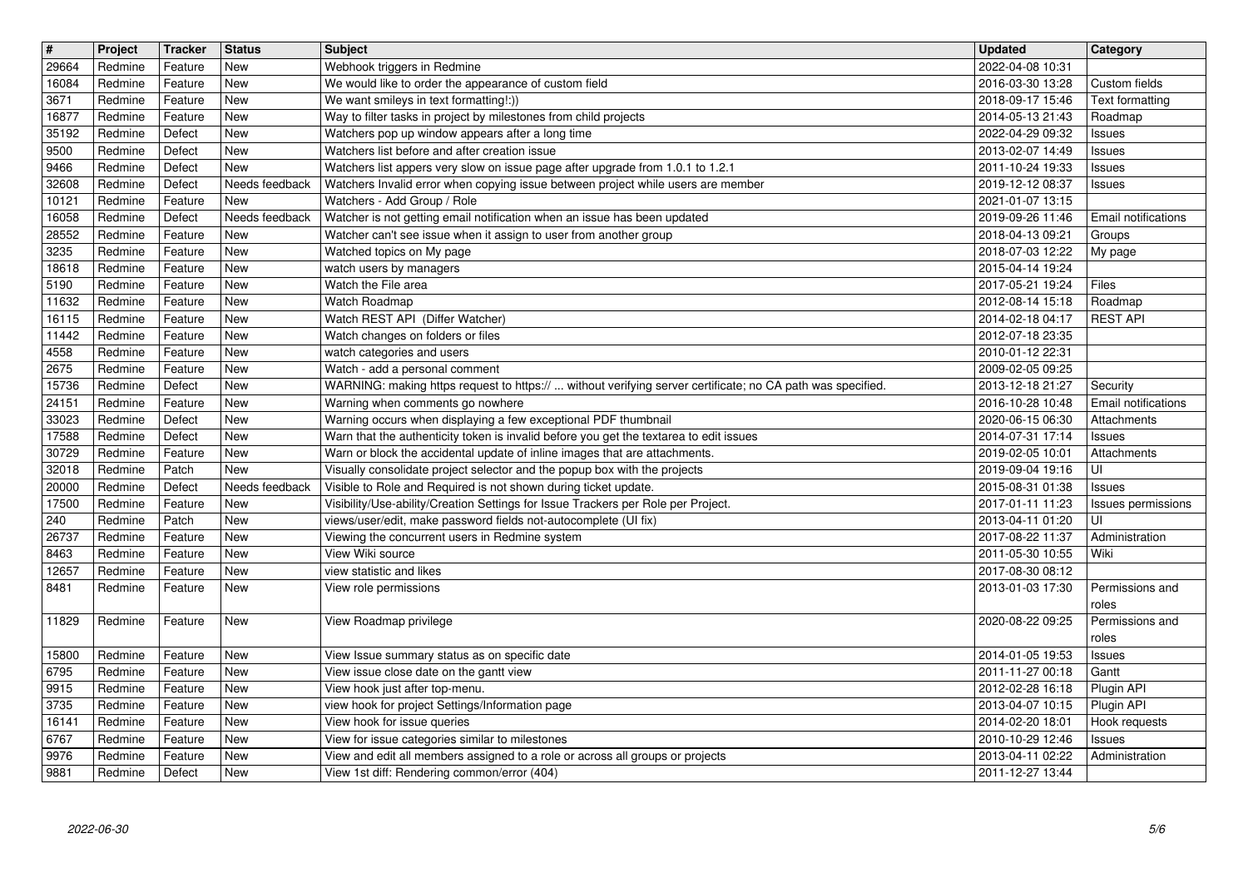| $\sqrt{\frac{4}{15}}$ | Project            | <b>Tracker</b>     | Status                | Subject                                                                                                                                                            | <b>Updated</b>                       | <b>Category</b>                  |
|-----------------------|--------------------|--------------------|-----------------------|--------------------------------------------------------------------------------------------------------------------------------------------------------------------|--------------------------------------|----------------------------------|
| 29664                 | Redmine            | Feature            | New                   | Webhook triggers in Redmine                                                                                                                                        | 2022-04-08 10:31                     |                                  |
| 16084<br>3671         | Redmine<br>Redmine | Feature<br>Feature | New<br>New            | We would like to order the appearance of custom field<br>We want smileys in text formatting!:))                                                                    | 2016-03-30 13:28<br>2018-09-17 15:46 | Custom fields<br>Text formatting |
| 16877                 | Redmine            | Feature            | New                   | Way to filter tasks in project by milestones from child projects                                                                                                   | 2014-05-13 21:43                     | Roadmap                          |
| 35192                 | Redmine            | Defect             | New                   | Watchers pop up window appears after a long time                                                                                                                   | 2022-04-29 09:32                     | Issues                           |
| 9500                  | Redmine            | Defect             | <b>New</b>            | Watchers list before and after creation issue                                                                                                                      | 2013-02-07 14:49                     | Issues                           |
| 9466<br>32608         | Redmine<br>Redmine | Defect<br>Defect   | New<br>Needs feedback | Watchers list appers very slow on issue page after upgrade from 1.0.1 to 1.2.1<br>Watchers Invalid error when copying issue between project while users are member | 2011-10-24 19:33<br>2019-12-12 08:37 | Issues<br>Issues                 |
| 10121                 | Redmine            | Feature            | <b>New</b>            | Watchers - Add Group / Role                                                                                                                                        | 2021-01-07 13:15                     |                                  |
| 16058                 | Redmine            | Defect             | Needs feedback        | Watcher is not getting email notification when an issue has been updated                                                                                           | 2019-09-26 11:46                     | Email notifications              |
| 28552                 | Redmine            | Feature            | New                   | Watcher can't see issue when it assign to user from another group                                                                                                  | 2018-04-13 09:21                     | Groups                           |
| 3235                  | Redmine            | Feature            | New                   | Watched topics on My page                                                                                                                                          | 2018-07-03 12:22                     | My page                          |
| 18618<br>5190         | Redmine<br>Redmine | Feature<br>Feature | New<br>New            | watch users by managers<br>Watch the File area                                                                                                                     | 2015-04-14 19:24<br>2017-05-21 19:24 | Files                            |
| 11632                 | Redmine            | Feature            | <b>New</b>            | Watch Roadmap                                                                                                                                                      | 2012-08-14 15:18                     | Roadmap                          |
| 16115                 | Redmine            | Feature            | New                   | Watch REST API (Differ Watcher)                                                                                                                                    | 2014-02-18 04:17                     | <b>REST API</b>                  |
| 11442                 | Redmine            | Feature            | New                   | Watch changes on folders or files                                                                                                                                  | 2012-07-18 23:35                     |                                  |
| 4558<br>2675          | Redmine<br>Redmine | Feature<br>Feature | New<br>New            | watch categories and users<br>Watch - add a personal comment                                                                                                       | 2010-01-12 22:31<br>2009-02-05 09:25 |                                  |
| 15736                 | Redmine            | Defect             | New                   | WARNING: making https request to https://  without verifying server certificate; no CA path was specified.                                                         | 2013-12-18 21:27                     | Security                         |
| 24151                 | Redmine            | Feature            | <b>New</b>            | Warning when comments go nowhere                                                                                                                                   | 2016-10-28 10:48                     | Email notifications              |
| 33023                 | Redmine            | Defect             | <b>New</b>            | Warning occurs when displaying a few exceptional PDF thumbnail                                                                                                     | 2020-06-15 06:30                     | Attachments                      |
| 17588                 | Redmine            | Defect             | <b>New</b>            | Warn that the authenticity token is invalid before you get the textarea to edit issues                                                                             | 2014-07-31 17:14                     | <b>Issues</b>                    |
| 30729<br>32018        | Redmine<br>Redmine | Feature<br>Patch   | <b>New</b><br>New     | Warn or block the accidental update of inline images that are attachments.<br>Visually consolidate project selector and the popup box with the projects            | 2019-02-05 10:01<br>2019-09-04 19:16 | Attachments<br>UI                |
| 20000                 | Redmine            | Defect             | Needs feedback        | Visible to Role and Required is not shown during ticket update.                                                                                                    | 2015-08-31 01:38                     | Issues                           |
| 17500                 | Redmine            | Feature            | <b>New</b>            | Visibility/Use-ability/Creation Settings for Issue Trackers per Role per Project.                                                                                  | 2017-01-11 11:23                     | Issues permissions               |
| 240                   | Redmine            | Patch              | New                   | views/user/edit, make password fields not-autocomplete (UI fix)                                                                                                    | 2013-04-11 01:20                     | UI                               |
| 26737                 | Redmine            | Feature            | <b>New</b>            | Viewing the concurrent users in Redmine system                                                                                                                     | 2017-08-22 11:37                     | Administration                   |
| 8463<br>12657         | Redmine<br>Redmine | Feature<br>Feature | New<br>New            | View Wiki source<br>view statistic and likes                                                                                                                       | 2011-05-30 10:55<br>2017-08-30 08:12 | Wiki                             |
| 8481                  | Redmine            | Feature            | New                   | View role permissions                                                                                                                                              | 2013-01-03 17:30                     | Permissions and                  |
|                       |                    |                    |                       |                                                                                                                                                                    |                                      | roles                            |
| 11829                 | Redmine            | Feature            | <b>New</b>            | View Roadmap privilege                                                                                                                                             | 2020-08-22 09:25                     | Permissions and                  |
| 15800                 | Redmine            | Feature            | <b>New</b>            | View Issue summary status as on specific date                                                                                                                      | 2014-01-05 19:53                     | roles<br>Issues                  |
| 6795                  | Redmine            | Feature            | <b>New</b>            | View issue close date on the gantt view                                                                                                                            | 2011-11-27 00:18                     | Gantt                            |
| 9915                  | Redmine            | Feature            | New                   | View hook just after top-menu.                                                                                                                                     | 2012-02-28 16:18                     | Plugin API                       |
| $3735$                | Redmine            | Feature            | New                   | view hook for project Settings/Information page                                                                                                                    | 2013-04-07 10:15 Plugin API          |                                  |
| 16141                 | Redmine            | Feature            | <b>New</b>            | View hook for issue queries                                                                                                                                        | 2014-02-20 18:01                     | Hook requests                    |
| 6767<br>9976          | Redmine<br>Redmine | Feature<br>Feature | New<br>New            | View for issue categories similar to milestones<br>View and edit all members assigned to a role or across all groups or projects                                   | 2010-10-29 12:46<br>2013-04-11 02:22 | Issues<br>Administration         |
| 9881                  | Redmine            | Defect             | New                   | View 1st diff: Rendering common/error (404)                                                                                                                        | 2011-12-27 13:44                     |                                  |
| 2022-06-30            |                    |                    |                       |                                                                                                                                                                    |                                      |                                  |
|                       |                    |                    |                       |                                                                                                                                                                    |                                      |                                  |
|                       |                    |                    |                       |                                                                                                                                                                    |                                      |                                  |
|                       |                    |                    |                       |                                                                                                                                                                    |                                      |                                  |
|                       |                    |                    |                       |                                                                                                                                                                    |                                      |                                  |
|                       |                    |                    |                       |                                                                                                                                                                    |                                      |                                  |
|                       |                    |                    |                       |                                                                                                                                                                    |                                      |                                  |
|                       |                    |                    |                       |                                                                                                                                                                    |                                      |                                  |
|                       |                    |                    |                       |                                                                                                                                                                    |                                      |                                  |
|                       |                    |                    |                       |                                                                                                                                                                    |                                      |                                  |
|                       |                    |                    |                       |                                                                                                                                                                    |                                      |                                  |
|                       |                    |                    |                       |                                                                                                                                                                    |                                      |                                  |
|                       |                    |                    |                       |                                                                                                                                                                    |                                      |                                  |
|                       |                    |                    |                       |                                                                                                                                                                    |                                      |                                  |
|                       |                    |                    |                       |                                                                                                                                                                    |                                      |                                  |
|                       |                    |                    |                       |                                                                                                                                                                    |                                      |                                  |
|                       |                    |                    |                       |                                                                                                                                                                    |                                      |                                  |
|                       |                    |                    |                       |                                                                                                                                                                    |                                      |                                  |
|                       |                    |                    |                       |                                                                                                                                                                    |                                      |                                  |
|                       |                    |                    |                       |                                                                                                                                                                    |                                      |                                  |
|                       |                    |                    |                       |                                                                                                                                                                    |                                      |                                  |
|                       |                    |                    |                       |                                                                                                                                                                    |                                      |                                  |
|                       |                    |                    |                       |                                                                                                                                                                    |                                      |                                  |